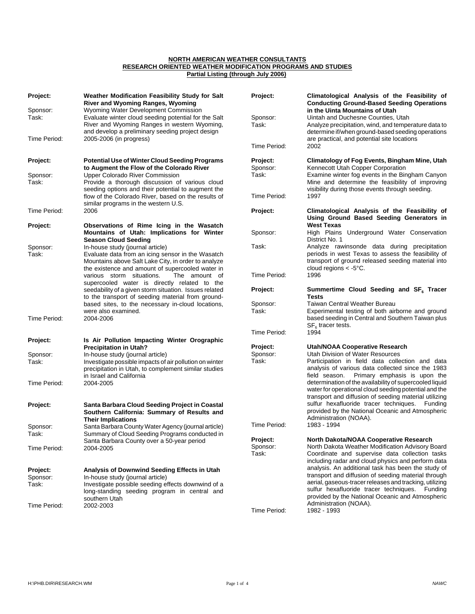## **NORTH AMERICAN WEATHER CONSULTANTS RESEARCH ORIENTED WEATHER MODIFICATION PROGRAMS AND STUDIES Partial Listing (through July 2006)**

| Project:          | Weather Modification Feasibility Study for Salt<br><b>River and Wyoming Ranges, Wyoming</b>                                                  | Project:          | Climatological Analysis of the Feasibility of<br><b>Conducting Ground-Based Seeding Operations</b>                           |
|-------------------|----------------------------------------------------------------------------------------------------------------------------------------------|-------------------|------------------------------------------------------------------------------------------------------------------------------|
| Sponsor:<br>Task: | Wyoming Water Development Commission<br>Evaluate winter cloud seeding potential for the Salt<br>River and Wyoming Ranges in western Wyoming, | Sponsor:<br>Task: | in the Uinta Mountains of Utah<br>Uintah and Duchesne Counties, Utah<br>Analyze precipitation, wind, and temperature data to |
| Time Period:      | and develop a preliminary seeding project design<br>2005-2006 (in progress)                                                                  |                   | determine if/when ground-based seeding operations<br>are practical, and potential site locations                             |
|                   |                                                                                                                                              | Time Period:      | 2002                                                                                                                         |
| Project:          | <b>Potential Use of Winter Cloud Seeding Programs</b>                                                                                        | Project:          | <b>Climatology of Fog Events, Bingham Mine, Utah</b>                                                                         |
|                   | to Augment the Flow of the Colorado River                                                                                                    | Sponsor:          | Kennecott Utah Copper Corporation                                                                                            |
| Sponsor:          | Upper Colorado River Commission                                                                                                              | Task:             | Examine winter fog events in the Bingham Canyon<br>Mine and determine the feasibility of improving                           |
| Task:             | Provide a thorough discussion of various cloud<br>seeding options and their potential to augment the                                         |                   | visibility during those events through seeding.                                                                              |
|                   | flow of the Colorado River, based on the results of<br>similar programs in the western U.S.                                                  | Time Period:      | 1997                                                                                                                         |
| Time Period:      | 2006                                                                                                                                         | Project:          | Climatological Analysis of the Feasibility of                                                                                |
| Project:          | Observations of Rime Icing in the Wasatch                                                                                                    |                   | Using Ground Based Seeding Generators in<br><b>West Texas</b>                                                                |
|                   | Mountains of Utah: Implications for Winter                                                                                                   | Sponsor:          | High Plains Underground Water Conservation                                                                                   |
|                   | <b>Season Cloud Seeding</b>                                                                                                                  |                   | District No. 1                                                                                                               |
| Sponsor:          | In-house study (journal article)                                                                                                             | Task:             | Analyze rawinsonde data during precipitation                                                                                 |
| Task:             | Evaluate data from an icing sensor in the Wasatch                                                                                            |                   | periods in west Texas to assess the feasibility of<br>transport of ground released seeding material into                     |
|                   | Mountains above Salt Lake City, in order to analyze<br>the existence and amount of supercooled water in                                      |                   | cloud regions $<$ -5°C.                                                                                                      |
|                   | various storm situations.<br>The amount of<br>supercooled water is directly related to the                                                   | Time Period:      | 1996                                                                                                                         |
|                   | seedability of a given storm situation. Issues related<br>to the transport of seeding material from ground-                                  | Project:          | Summertime Cloud Seeding and SF <sub>6</sub> Tracer<br>Tests                                                                 |
|                   | based sites, to the necessary in-cloud locations,                                                                                            | Sponsor:          | <b>Taiwan Central Weather Bureau</b>                                                                                         |
| Time Period:      | were also examined.<br>2004-2006                                                                                                             | Task:             | Experimental testing of both airborne and ground<br>based seeding in Central and Southern Taiwan plus<br>$SF6$ tracer tests. |
|                   |                                                                                                                                              | Time Period:      | 1994                                                                                                                         |
| Project:          | Is Air Pollution Impacting Winter Orographic                                                                                                 |                   |                                                                                                                              |
|                   | <b>Precipitation in Utah?</b>                                                                                                                | Project:          | <b>Utah/NOAA Cooperative Research</b>                                                                                        |
| Sponsor:<br>Task: | In-house study (journal article)                                                                                                             | Sponsor:<br>Task: | Utah Division of Water Resources<br>Participation in field data collection and data                                          |
|                   | Investigate possible impacts of air pollution on winter<br>precipitation in Utah, to complement similar studies                              |                   | analysis of various data collected since the 1983                                                                            |
| Time Period:      | in Israel and California<br>2004-2005                                                                                                        |                   | Primary emphasis is upon the<br>field season.<br>determination of the availability of supercooled liquid                     |
|                   |                                                                                                                                              |                   | water for operational cloud seeding potential and the                                                                        |
|                   |                                                                                                                                              |                   | transport and diffusion of seeding material utilizing                                                                        |
| Project:          | Santa Barbara Cloud Seeding Project in Coastal                                                                                               |                   | sulfur hexafluoride tracer techniques. Funding                                                                               |
|                   | Southern California: Summary of Results and                                                                                                  |                   | provided by the National Oceanic and Atmospheric<br>Administration (NOAA).                                                   |
| Sponsor:          | <b>Their Implications</b><br>Santa Barbara County Water Agency (journal article)                                                             | Time Period:      | 1983 - 1994                                                                                                                  |
| Task:             | Summary of Cloud Seeding Programs conducted in                                                                                               |                   |                                                                                                                              |
|                   | Santa Barbara County over a 50-year period                                                                                                   | Project:          | North Dakota/NOAA Cooperative Research                                                                                       |
| Time Period:      | 2004-2005                                                                                                                                    | Sponsor:<br>Task: | North Dakota Weather Modification Advisory Board<br>Coordinate and supervise data collection tasks                           |
|                   |                                                                                                                                              |                   | including radar and cloud physics and perform data                                                                           |
| Project:          | Analysis of Downwind Seeding Effects in Utah                                                                                                 |                   | analysis. An additional task has been the study of                                                                           |
| Sponsor:          | In-house study (journal article)                                                                                                             |                   | transport and diffusion of seeding material through<br>aerial, gaseous-tracer releases and tracking, utilizing               |
| Task:             | Investigate possible seeding effects downwind of a<br>long-standing seeding program in central and                                           |                   | sulfur hexafluoride tracer techniques. Funding                                                                               |
|                   | southern Utah                                                                                                                                |                   | provided by the National Oceanic and Atmospheric                                                                             |
| Time Period:      | 2002-2003                                                                                                                                    | Time Period:      | Administration (NOAA).<br>1982 - 1993                                                                                        |
|                   |                                                                                                                                              |                   |                                                                                                                              |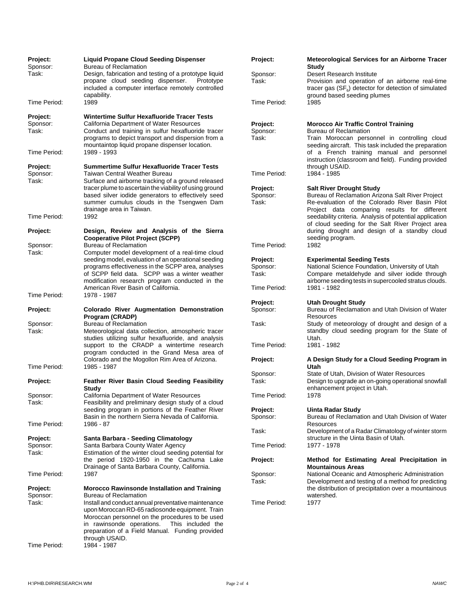| Project:<br>Sponsor:<br>Task: | <b>Liquid Propane Cloud Seeding Dispenser</b><br><b>Bureau of Reclamation</b><br>Design, fabrication and testing of a prototype liquid<br>propane cloud seeding dispenser.<br>Prototype | Project:<br>Sponsor:<br>Task: | <b>Meteorological Services for an Airborne Tracer</b><br>Study<br>Desert Research Institute<br>Provision and operation of an airborne real-time            |
|-------------------------------|-----------------------------------------------------------------------------------------------------------------------------------------------------------------------------------------|-------------------------------|------------------------------------------------------------------------------------------------------------------------------------------------------------|
| Time Period:                  | included a computer interface remotely controlled<br>capability.<br>1989                                                                                                                | Time Period:                  | tracer gas $(SF_6)$ detector for detection of simulated<br>ground based seeding plumes<br>1985                                                             |
| Project:                      | Wintertime Sulfur Hexafluoride Tracer Tests                                                                                                                                             |                               |                                                                                                                                                            |
| Sponsor:<br>Task:             | California Department of Water Resources<br>Conduct and training in sulfur hexafluoride tracer<br>programs to depict transport and dispersion from a                                    | Project:<br>Sponsor:<br>Task: | <b>Morocco Air Traffic Control Training</b><br><b>Bureau of Reclamation</b><br>Train Moroccan personnel in controlling cloud                               |
| Time Period:                  | mountaintop liquid propane dispenser location.<br>1989 - 1993                                                                                                                           |                               | seeding aircraft. This task included the preparation<br>of a French training manual and personnel<br>instruction (classroom and field). Funding provided   |
| Project:<br>Sponsor:<br>Task: | <b>Summertime Sulfur Hexafluoride Tracer Tests</b><br>Taiwan Central Weather Bureau<br>Surface and airborne tracking of a ground released                                               | Time Period:                  | through USAID.<br>1984 - 1985                                                                                                                              |
|                               | tracer plume to ascertain the viability of using ground                                                                                                                                 | Project:                      | <b>Salt River Drought Study</b>                                                                                                                            |
|                               | based silver iodide generators to effectively seed                                                                                                                                      | Sponsor:                      | Bureau of Reclamation Arizona Salt River Project                                                                                                           |
| Time Period:                  | summer cumulus clouds in the Tsengwen Dam<br>drainage area in Taiwan.<br>1992                                                                                                           | Task:                         | Re-evaluation of the Colorado River Basin Pilot<br>Project data comparing results for different<br>seedability criteria. Analysis of potential application |
| Project:                      | Design, Review and Analysis of the Sierra                                                                                                                                               |                               | of cloud seeding for the Salt River Project area<br>during drought and design of a standby cloud                                                           |
| Sponsor:                      | <b>Cooperative Pilot Project (SCPP)</b><br><b>Bureau of Reclamation</b>                                                                                                                 | Time Period:                  | seeding program.<br>1982                                                                                                                                   |
| Task:                         | Computer model development of a real-time cloud                                                                                                                                         |                               |                                                                                                                                                            |
|                               | seeding model, evaluation of an operational seeding<br>programs effectiveness in the SCPP area, analyses                                                                                | Project:<br>Sponsor:          | <b>Experimental Seeding Tests</b><br>National Science Foundation, University of Utah                                                                       |
|                               | of SCPP field data. SCPP was a winter weather                                                                                                                                           | Task:                         | Compare metaldehyde and silver iodide through                                                                                                              |
|                               | modification research program conducted in the                                                                                                                                          |                               | airborne seeding tests in supercooled stratus clouds.                                                                                                      |
| Time Period:                  | American River Basin of California.<br>1978 - 1987                                                                                                                                      | Time Period:                  | 1981 - 1982                                                                                                                                                |
|                               |                                                                                                                                                                                         | Project:                      | <b>Utah Drought Study</b>                                                                                                                                  |
| Project:                      | Colorado River Augmentation Demonstration<br>Program (CRADP)                                                                                                                            | Sponsor:                      | Bureau of Reclamation and Utah Division of Water<br>Resources                                                                                              |
| Sponsor:                      | <b>Bureau of Reclamation</b>                                                                                                                                                            | Task:                         | Study of meteorology of drought and design of a                                                                                                            |
| Task:                         | Meteorological data collection, atmospheric tracer                                                                                                                                      |                               | standby cloud seeding program for the State of                                                                                                             |
|                               | studies utilizing sulfur hexafluoride, and analysis<br>support to the CRADP a wintertime research<br>program conducted in the Grand Mesa area of                                        | Time Period:                  | Utah.<br>1981 - 1982                                                                                                                                       |
|                               | Colorado and the Mogollon Rim Area of Arizona.                                                                                                                                          | Project:                      | A Design Study for a Cloud Seeding Program in                                                                                                              |
| Time Period:                  | 1985 - 1987                                                                                                                                                                             |                               | Utah                                                                                                                                                       |
| Project:                      | <b>Feather River Basin Cloud Seeding Feasibility</b>                                                                                                                                    | Sponsor:<br>Task:             | State of Utah, Division of Water Resources<br>Design to upgrade an on-going operational snowfall                                                           |
|                               | <b>Study</b>                                                                                                                                                                            |                               | enhancement project in Utah.                                                                                                                               |
| Sponsor:<br>Task:             | California Department of Water Resources<br>Feasibility and preliminary design study of a cloud                                                                                         | Time Period:                  | 1978                                                                                                                                                       |
|                               | seeding program in portions of the Feather River<br>Basin in the northern Sierra Nevada of California.                                                                                  | Project:<br>Sponsor:          | Uinta Radar Study                                                                                                                                          |
| Time Period:                  | 1986 - 87                                                                                                                                                                               |                               | Bureau of Reclamation and Utah Division of Water<br>Resources                                                                                              |
|                               |                                                                                                                                                                                         | Task:                         | Development of a Radar Climatology of winter storm                                                                                                         |
| Project:<br>Sponsor:<br>Task: | Santa Barbara - Seeding Climatology<br>Santa Barbara County Water Agency<br>Estimation of the winter cloud seeding potential for                                                        | Time Period:                  | structure in the Uinta Basin of Utah.<br>1977 - 1978                                                                                                       |
|                               | the period 1920-1950 in the Cachuma Lake<br>Drainage of Santa Barbara County, California.                                                                                               | Project:                      | Method for Estimating Areal Precipitation in<br><b>Mountainous Areas</b>                                                                                   |
| Time Period:                  | 1987                                                                                                                                                                                    | Sponsor:<br>Task:             | National Oceanic and Atmospheric Administration<br>Development and testing of a method for predicting                                                      |
| Project:                      | <b>Morocco Rawinsonde Installation and Training</b>                                                                                                                                     |                               | the distribution of precipitation over a mountainous                                                                                                       |
| Sponsor:<br>Task:             | <b>Bureau of Reclamation</b><br>Install and conduct annual preventative maintenance                                                                                                     | Time Period:                  | watershed.<br>1977                                                                                                                                         |
|                               | upon Moroccan RD-65 radiosonde equipment. Train                                                                                                                                         |                               |                                                                                                                                                            |
|                               | Moroccan personnel on the procedures to be used                                                                                                                                         |                               |                                                                                                                                                            |
|                               | This included the<br>in rawinsonde operations.<br>preparation of a Field Manual. Funding provided                                                                                       |                               |                                                                                                                                                            |
|                               | through USAID.                                                                                                                                                                          |                               |                                                                                                                                                            |
| Time Period:                  | 1984 - 1987                                                                                                                                                                             |                               |                                                                                                                                                            |
|                               |                                                                                                                                                                                         |                               |                                                                                                                                                            |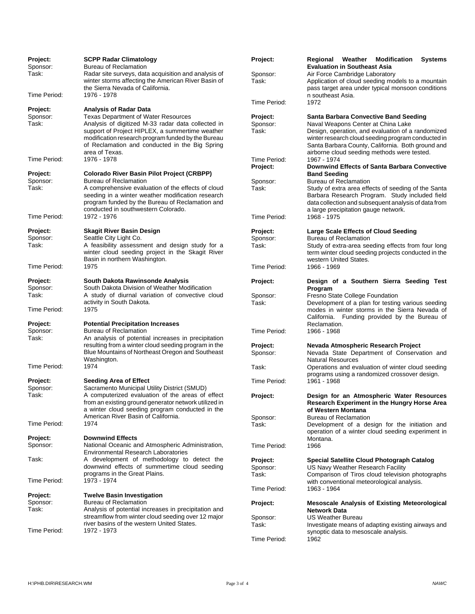| Project:<br>Sponsor:          | <b>SCPP Radar Climatology</b><br><b>Bureau of Reclamation</b>                                                                                                                                                                                                                 | Project:                      | Regional Weather Modification<br><b>Systems</b><br><b>Evaluation in Southeast Asia</b>                                                                                                                                                                                                            |
|-------------------------------|-------------------------------------------------------------------------------------------------------------------------------------------------------------------------------------------------------------------------------------------------------------------------------|-------------------------------|---------------------------------------------------------------------------------------------------------------------------------------------------------------------------------------------------------------------------------------------------------------------------------------------------|
| Task:                         | Radar site surveys, data acquisition and analysis of<br>winter storms affecting the American River Basin of<br>the Sierra Nevada of California.                                                                                                                               | Sponsor:<br>Task:             | Air Force Cambridge Laboratory<br>Application of cloud seeding models to a mountain<br>pass target area under typical monsoon conditions                                                                                                                                                          |
| Time Period:                  | 1976 - 1978                                                                                                                                                                                                                                                                   |                               | n southeast Asia.                                                                                                                                                                                                                                                                                 |
| Project:                      | <b>Analysis of Radar Data</b>                                                                                                                                                                                                                                                 | Time Period:                  | 1972                                                                                                                                                                                                                                                                                              |
| Sponsor:<br>Task:             | <b>Texas Department of Water Resources</b><br>Analysis of digitized M-33 radar data collected in<br>support of Project HIPLEX, a summertime weather<br>modification research program funded by the Bureau<br>of Reclamation and conducted in the Big Spring<br>area of Texas. | Project:<br>Sponsor:<br>Task: | <b>Santa Barbara Convective Band Seeding</b><br>Naval Weapons Center at China Lake<br>Design, operation, and evaluation of a randomized<br>winter research cloud seeding program conducted in<br>Santa Barbara County, California. Both ground and<br>airborne cloud seeding methods were tested. |
| Time Period:                  | 1976 - 1978                                                                                                                                                                                                                                                                   | Time Period:                  | 1967 - 1974                                                                                                                                                                                                                                                                                       |
| Project:                      | <b>Colorado River Basin Pilot Project (CRBPP)</b>                                                                                                                                                                                                                             | Project:                      | Downwind Effects of Santa Barbara Convective<br><b>Band Seeding</b>                                                                                                                                                                                                                               |
| Sponsor:                      | <b>Bureau of Reclamation</b>                                                                                                                                                                                                                                                  | Sponsor:                      | <b>Bureau of Reclamation</b>                                                                                                                                                                                                                                                                      |
| Task:                         | A comprehensive evaluation of the effects of cloud<br>seeding in a winter weather modification research<br>program funded by the Bureau of Reclamation and<br>conducted in southwestern Colorado.                                                                             | Task:                         | Study of extra area effects of seeding of the Santa<br>Barbara Research Program. Study included field<br>data collection and subsequent analysis of data from                                                                                                                                     |
| Time Period:                  | 1972 - 1976                                                                                                                                                                                                                                                                   | Time Period:                  | a large precipitation gauge network.<br>1968 - 1975                                                                                                                                                                                                                                               |
| Project:                      | Skagit River Basin Design                                                                                                                                                                                                                                                     | Project:                      | Large Scale Effects of Cloud Seeding                                                                                                                                                                                                                                                              |
| Sponsor:<br>Task:             | Seattle City Light Co.<br>A feasibility assessment and design study for a<br>winter cloud seeding project in the Skagit River                                                                                                                                                 | Sponsor:<br>Task:             | <b>Bureau of Reclamation</b><br>Study of extra-area seeding effects from four long<br>term winter cloud seeding projects conducted in the                                                                                                                                                         |
| Time Period:                  | Basin in northern Washington.<br>1975                                                                                                                                                                                                                                         | Time Period:                  | western United States.<br>1966 - 1969                                                                                                                                                                                                                                                             |
| Project:<br>Sponsor:          | South Dakota Rawinsonde Analysis<br>South Dakota Division of Weather Modification                                                                                                                                                                                             | Project:                      | Design of a Southern Sierra Seeding Test<br>Program                                                                                                                                                                                                                                               |
| Task:                         | A study of diurnal variation of convective cloud<br>activity in South Dakota.                                                                                                                                                                                                 | Sponsor:<br>Task:             | Fresno State College Foundation<br>Development of a plan for testing various seeding                                                                                                                                                                                                              |
| Time Period:                  | 1975                                                                                                                                                                                                                                                                          |                               | modes in winter storms in the Sierra Nevada of<br>California. Funding provided by the Bureau of                                                                                                                                                                                                   |
| Project:<br>Sponsor:<br>Task: | <b>Potential Precipitation Increases</b><br><b>Bureau of Reclamation</b><br>An analysis of potential increases in precipitation                                                                                                                                               | Time Period:                  | Reclamation.<br>1966 - 1968                                                                                                                                                                                                                                                                       |
|                               | resulting from a winter cloud seeding program in the<br>Blue Mountains of Northeast Oregon and Southeast                                                                                                                                                                      | Project:<br>Sponsor:          | Nevada Atmospheric Research Project<br>Nevada State Department of Conservation and                                                                                                                                                                                                                |
| Time Period:                  | Washington.<br>1974                                                                                                                                                                                                                                                           | Task:                         | <b>Natural Resources</b><br>Operations and evaluation of winter cloud seeding                                                                                                                                                                                                                     |
| Project:<br>Sponsor:          | <b>Seeding Area of Effect</b><br>Sacramento Municipal Utility District (SMUD)                                                                                                                                                                                                 | Time Period:                  | programs using a randomized crossover design.<br>1961 - 1968                                                                                                                                                                                                                                      |
| Task:                         | A computerized evaluation of the areas of effect<br>from an existing ground generator network utilized in<br>a winter cloud seeding program conducted in the                                                                                                                  | Project:                      | Design for an Atmospheric Water Resources<br>Research Experiment in the Hungry Horse Area<br>of Western Montana                                                                                                                                                                                   |
| Time Period:                  | American River Basin of California.<br>1974                                                                                                                                                                                                                                   | Sponsor:<br>Task:             | <b>Bureau of Reclamation</b><br>Development of a design for the initiation and                                                                                                                                                                                                                    |
|                               |                                                                                                                                                                                                                                                                               |                               | operation of a winter cloud seeding experiment in                                                                                                                                                                                                                                                 |
| Project:<br>Sponsor:          | <b>Downwind Effects</b><br>National Oceanic and Atmospheric Administration,<br><b>Environmental Research Laboratories</b>                                                                                                                                                     | Time Period:                  | Montana.<br>1966                                                                                                                                                                                                                                                                                  |
| Task:                         | A development of methodology to detect the                                                                                                                                                                                                                                    | Project:                      | Special Satellite Cloud Photograph Catalog                                                                                                                                                                                                                                                        |
| Time Period:                  | downwind effects of summertime cloud seeding<br>programs in the Great Plains.<br>1973 - 1974                                                                                                                                                                                  | Sponsor:<br>Task:             | US Navy Weather Research Facility<br>Comparison of Tiros cloud television photographs<br>with conventional meteorological analysis.                                                                                                                                                               |
|                               |                                                                                                                                                                                                                                                                               | Time Period:                  | 1963 - 1964                                                                                                                                                                                                                                                                                       |
| <b>Project:</b><br>Sponsor:   | <b>Twelve Basin Investigation</b><br>Bureau of Reclamation                                                                                                                                                                                                                    | Project:                      | <b>Mesoscale Analysis of Existing Meteorological</b>                                                                                                                                                                                                                                              |
| Task:                         | Analysis of potential increases in precipitation and                                                                                                                                                                                                                          |                               | Network Data                                                                                                                                                                                                                                                                                      |
| Time Period:                  | streamflow from winter cloud seeding over 12 major<br>river basins of the western United States.<br>1972 - 1973                                                                                                                                                               | Sponsor:<br>Task:             | <b>US Weather Bureau</b><br>Investigate means of adapting existing airways and<br>synoptic data to mesoscale analysis.                                                                                                                                                                            |
|                               |                                                                                                                                                                                                                                                                               | Time Period:                  | 1962                                                                                                                                                                                                                                                                                              |